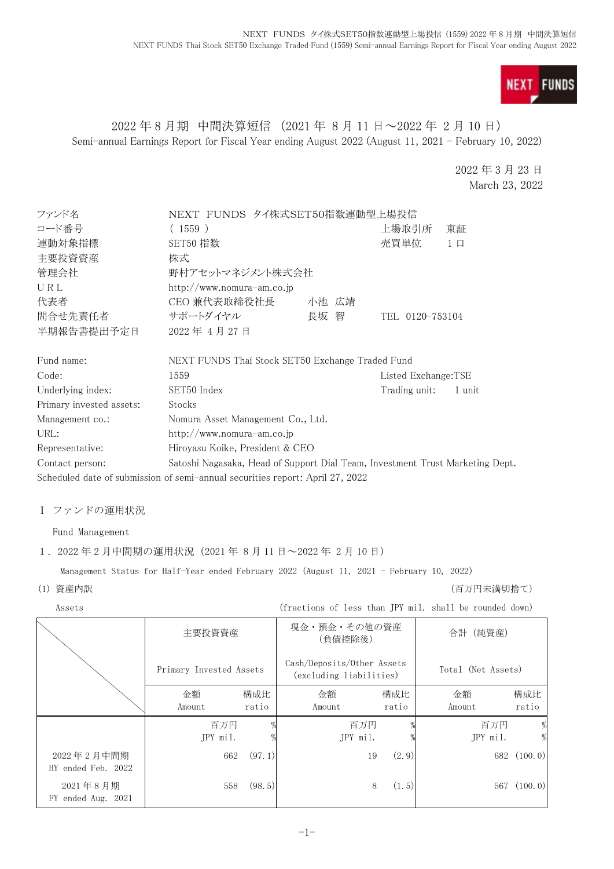

# 2022 年 8 月期 中間決算短信 (2021 年 8 月 11 日~2022 年 2 月 10 日) Semi-annual Earnings Report for Fiscal Year ending August 2022 (August 11, 2021 - February 10, 2022)

2022 年 3 月 23 日 March 23, 2022

| ファンド名                    | NEXT FUNDS タイ株式SET50指数連動型上場投信                                                 |       |                     |          |
|--------------------------|-------------------------------------------------------------------------------|-------|---------------------|----------|
| コード番号                    | (1559)                                                                        |       | 上場取引所               | 東証       |
| 連動対象指標                   | SET50 指数                                                                      |       | 売買単位                | $1 \Box$ |
| 主要投資資産                   | 株式                                                                            |       |                     |          |
| 管理会社                     | 野村アセットマネジメント株式会社                                                              |       |                     |          |
| URL                      | http://www.nomura-am.co.jp                                                    |       |                     |          |
| 代表者                      | CEO 兼代表取締役社長                                                                  | 小池 広靖 |                     |          |
| 間合せ先責任者                  | サポートダイヤル                                                                      | 長坂 智  | TEL 0120-753104     |          |
| 半期報告書提出予定日               | 2022年4月27日                                                                    |       |                     |          |
| Fund name:               | NEXT FUNDS Thai Stock SET50 Exchange Traded Fund                              |       |                     |          |
| Code:                    | 1559                                                                          |       | Listed Exchange:TSE |          |
| Underlying index:        | SET50 Index<br>Trading unit:<br>1 unit                                        |       |                     |          |
| Primary invested assets: | Stocks                                                                        |       |                     |          |
| Management co.:          | Nomura Asset Management Co., Ltd.                                             |       |                     |          |
| URL:                     | http://www.nomura-am.co.jp                                                    |       |                     |          |
| Representative:          | Hiroyasu Koike, President & CEO                                               |       |                     |          |
| Contact person:          | Satoshi Nagasaka, Head of Support Dial Team, Investment Trust Marketing Dept. |       |                     |          |
|                          | Scheduled date of submission of semi-annual securities report: April 27, 2022 |       |                     |          |

#### Ⅰ ファンドの運用状況

Fund Management

#### 1. 2022 年 2 月中間期の運用状況 (2021 年 8 月 11 日~2022 年 2 月 10 日)

Management Status for Half-Year ended February 2022 (August 11, 2021 - February 10, 2022)

#### (1) 資産内訳 (百万円未満切捨て)

Assets (fractions of less than JPY mil. shall be rounded down)

|                                  | 主要投資資産                  |              | 現金・預金・その他の資産<br>(負債控除後)                               |              | 合計 (純資産)           |              |
|----------------------------------|-------------------------|--------------|-------------------------------------------------------|--------------|--------------------|--------------|
|                                  | Primary Invested Assets |              | Cash/Deposits/Other Assets<br>(excluding liabilities) |              | Total (Net Assets) |              |
|                                  | 金額<br>Amount            | 構成比<br>ratio | 金額<br>Amount                                          | 構成比<br>ratio | 金額<br>Amount       | 構成比<br>ratio |
|                                  | 百万円<br>JPY mil.         |              | 百万円<br>JPY mil.                                       |              | 百万円<br>JPY mil.    | %            |
| 2022年2月中間期<br>HY ended Feb. 2022 | 662                     | (97.1)       |                                                       | (2.9)<br>19  |                    | 682 (100.0)  |
| 2021年8月期<br>FY ended Aug. 2021   | 558                     | (98.5)       |                                                       | 8<br>(1.5)   | 567                | (100.0)      |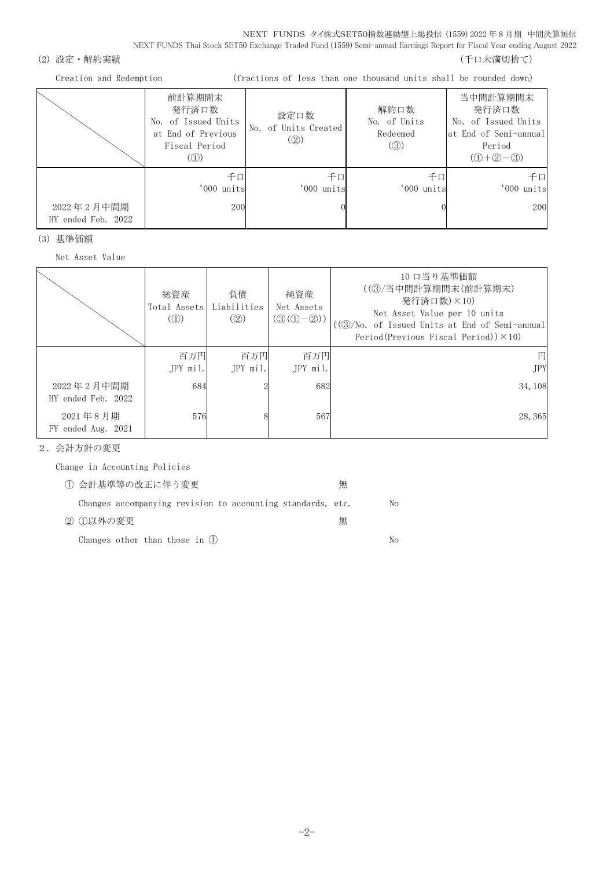NEXT FUNDS タイ株式SET50指数連動型上場投信 (1559) 2022 年 8 月期 中間決算短信 NEXT FUNDS Thai Stock SET50 Exchange Traded Fund (1559) Semi-annual Earnings Report for Fiscal Year ending August 2022

(2) 設定・解約実績 (5) アンチュー インスター (5) アンチュー (5) アンチュー (千口未満切捨て)

Creation and Redemption (fractions of less than one thousand units shall be rounded down)

|                                  | 前計算期間末<br>発行済口数<br>No. of Issued Units<br>at End of Previous<br>Fiscal Period<br>(1) | 設定口数<br>No. of Units Created<br>(Q) | 解約口数<br>No. of Units<br>Redeemed<br>$\left( \circledS \right)$ | 当中間計算期間末<br>発行済口数<br>No. of Issued Units<br>at End of Semi-annual<br>Period<br>$(①+②-③)$ |
|----------------------------------|--------------------------------------------------------------------------------------|-------------------------------------|----------------------------------------------------------------|------------------------------------------------------------------------------------------|
| 2022年2月中間期<br>HY ended Feb. 2022 | 千口<br>'000 units<br>200                                                              | 千口<br>'000 units                    | 千口<br>'000 units                                               | 千口<br>'000 units<br>200                                                                  |

(3) 基準価額

Net Asset Value

|                                  | 総資産<br>Total Assets<br>$\mathcal{L}(\mathbb{D})$ | 負債<br>Liabilities<br>(Q) | 純資産<br>Net Assets<br>$(③(①-②))$ | 10 口当り基準価額<br>((3)/当中間計算期間末(前計算期末)<br>発行済口数)×10)<br>Net Asset Value per 10 units<br>((③/No. of Issued Units at End of Semi-annual<br>Period (Previous Fiscal Period)) $\times$ 10) |
|----------------------------------|--------------------------------------------------|--------------------------|---------------------------------|------------------------------------------------------------------------------------------------------------------------------------------------------------------------------------|
|                                  | 百万円<br>JPY mil.                                  | 百万円<br>$IPY$ mil.        | 百万円<br>JPY mil.                 | 円<br><b>JPY</b>                                                                                                                                                                    |
| 2022年2月中間期<br>HY ended Feb. 2022 | 684                                              |                          | 682                             | 34, 108                                                                                                                                                                            |
| 2021年8月期<br>FY ended Aug. 2021   | 576                                              |                          | 567                             | 28, 365                                                                                                                                                                            |

2.会計方針の変更

Change in Accounting Policies

| 1 会計基準等の改正に伴う変更                                             | 無 |    |
|-------------------------------------------------------------|---|----|
| Changes accompanying revision to accounting standards, etc. |   | No |
| ② ①以外の変更                                                    | 無 |    |
| Changes other than those in $(1)$                           |   | Nο |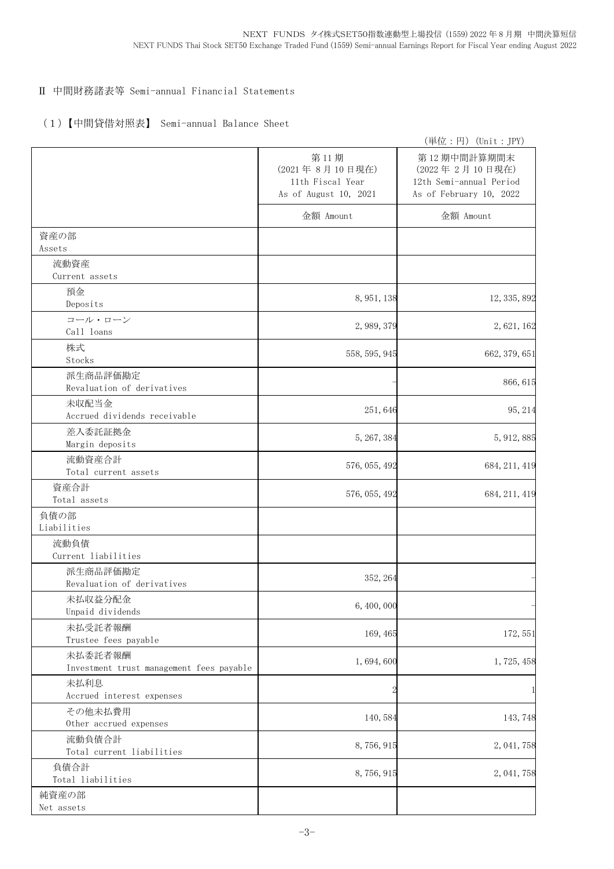## Ⅱ 中間財務諸表等 Semi-annual Financial Statements

## (1)【中間貸借対照表】 Semi-annual Balance Sheet

|                                                     |                                                                     | (単位:円) (Unit: JPY)                                                                  |
|-----------------------------------------------------|---------------------------------------------------------------------|-------------------------------------------------------------------------------------|
|                                                     | 第11期<br>(2021年8月10日現在)<br>11th Fiscal Year<br>As of August 10, 2021 | 第12期中間計算期間末<br>(2022年2月10日現在)<br>12th Semi-annual Period<br>As of February 10, 2022 |
|                                                     | 金額 Amount                                                           | 金額 Amount                                                                           |
| 資産の部<br>Assets                                      |                                                                     |                                                                                     |
| 流動資産<br>Current assets                              |                                                                     |                                                                                     |
| 預金<br>Deposits                                      | 8, 951, 138                                                         | 12, 335, 892                                                                        |
| コール・ローン<br>Call loans                               | 2, 989, 379                                                         | 2,621,162                                                                           |
| 株式<br>Stocks                                        | 558, 595, 945                                                       | 662, 379, 651                                                                       |
| 派生商品評価勘定<br>Revaluation of derivatives              |                                                                     | 866, 615                                                                            |
| 未収配当金<br>Accrued dividends receivable               | 251,646                                                             | 95, 214                                                                             |
| 差入委託証拠金<br>Margin deposits                          | 5, 267, 384                                                         | 5, 912, 885                                                                         |
| 流動資産合計<br>Total current assets                      | 576, 055, 492                                                       | 684, 211, 419                                                                       |
| 資産合計<br>Total assets                                | 576, 055, 492                                                       | 684, 211, 419                                                                       |
| 負債の部<br>Liabilities                                 |                                                                     |                                                                                     |
| 流動負債<br>Current liabilities                         |                                                                     |                                                                                     |
| 派生商品評価勘定<br>Revaluation of derivatives              | 352, 264                                                            |                                                                                     |
| 未払収益分配金<br>Unpaid dividends                         | 6,400,000                                                           |                                                                                     |
| 未払受託者報酬<br>Trustee fees payable                     | 169, 465                                                            | 172, 551                                                                            |
| 未払委託者報酬<br>Investment trust management fees payable | 1,694,600                                                           | 1,725,458                                                                           |
| 未払利息<br>Accrued interest expenses                   |                                                                     |                                                                                     |
| その他未払費用<br>Other accrued expenses                   | 140,584                                                             | 143,748                                                                             |
| 流動負債合計<br>Total current liabilities                 | 8,756,915                                                           | 2, 041, 758                                                                         |
| 負債合計<br>Total liabilities                           | 8,756,915                                                           | 2, 041, 758                                                                         |
| 純資産の部<br>Net assets                                 |                                                                     |                                                                                     |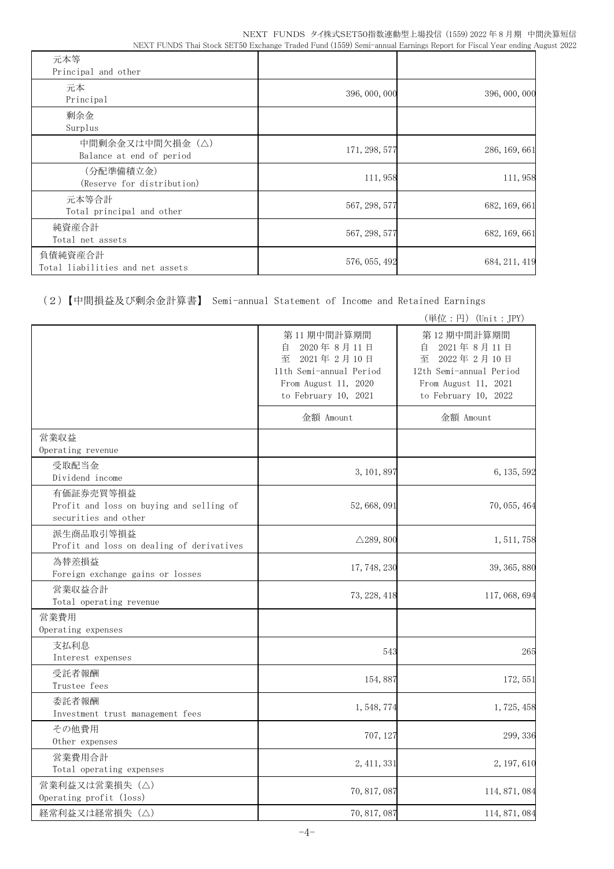| 元本等<br>Principal and other                  |               |               |
|---------------------------------------------|---------------|---------------|
| 元本<br>Principal                             | 396, 000, 000 | 396, 000, 000 |
| 剰余金<br>Surplus                              |               |               |
| 中間剰余金又は中間欠損金(△)<br>Balance at end of period | 171, 298, 577 | 286, 169, 661 |
| (分配準備積立金)<br>(Reserve for distribution)     | 111,958       | 111,958       |
| 元本等合計<br>Total principal and other          | 567, 298, 577 | 682, 169, 661 |
| 純資産合計<br>Total net assets                   | 567, 298, 577 | 682, 169, 661 |
| 負債純資産合計<br>Total liabilities and net assets | 576, 055, 492 | 684, 211, 419 |

(2)【中間損益及び剰余金計算書】 Semi-annual Statement of Income and Retained Earnings

|                                                                               |                                                                                                                             | (単位:円) (Unit: JPY)                                                                                                          |
|-------------------------------------------------------------------------------|-----------------------------------------------------------------------------------------------------------------------------|-----------------------------------------------------------------------------------------------------------------------------|
|                                                                               | 第11期中間計算期間<br>2020年8月11日<br>自<br>2021年2月10日<br>至<br>11th Semi-annual Period<br>From August 11, 2020<br>to February 10, 2021 | 第12期中間計算期間<br>2021年8月11日<br>自<br>2022年2月10日<br>至<br>12th Semi-annual Period<br>From August 11, 2021<br>to February 10, 2022 |
|                                                                               | 金額 Amount                                                                                                                   | 金額 Amount                                                                                                                   |
| 営業収益<br>Operating revenue                                                     |                                                                                                                             |                                                                                                                             |
| 受取配当金<br>Dividend income                                                      | 3, 101, 897                                                                                                                 | 6, 135, 592                                                                                                                 |
| 有価証券売買等損益<br>Profit and loss on buying and selling of<br>securities and other | 52, 668, 091                                                                                                                | 70, 055, 464                                                                                                                |
| 派生商品取引等損益<br>Profit and loss on dealing of derivatives                        | $\triangle$ 289, 800                                                                                                        | 1, 511, 758                                                                                                                 |
| 為替差損益<br>Foreign exchange gains or losses                                     | 17, 748, 230                                                                                                                | 39, 365, 880                                                                                                                |
| 営業収益合計<br>Total operating revenue                                             | 73, 228, 418                                                                                                                | 117, 068, 694                                                                                                               |
| 営業費用<br>Operating expenses                                                    |                                                                                                                             |                                                                                                                             |
| 支払利息<br>Interest expenses                                                     | 543                                                                                                                         | 265                                                                                                                         |
| 受託者報酬<br>Trustee fees                                                         | 154,887                                                                                                                     | 172, 551                                                                                                                    |
| 委託者報酬<br>Investment trust management fees                                     | 1, 548, 774                                                                                                                 | 1, 725, 458                                                                                                                 |
| その他費用<br>Other expenses                                                       | 707, 127                                                                                                                    | 299, 336                                                                                                                    |
| 営業費用合計<br>Total operating expenses                                            | 2, 411, 331                                                                                                                 | 2, 197, 610                                                                                                                 |
| 営業利益又は営業損失(△)<br>Operating profit (loss)                                      | 70, 817, 087                                                                                                                | 114, 871, 084                                                                                                               |
| 経常利益又は経常損失 (△)                                                                | 70, 817, 087                                                                                                                | 114, 871, 084                                                                                                               |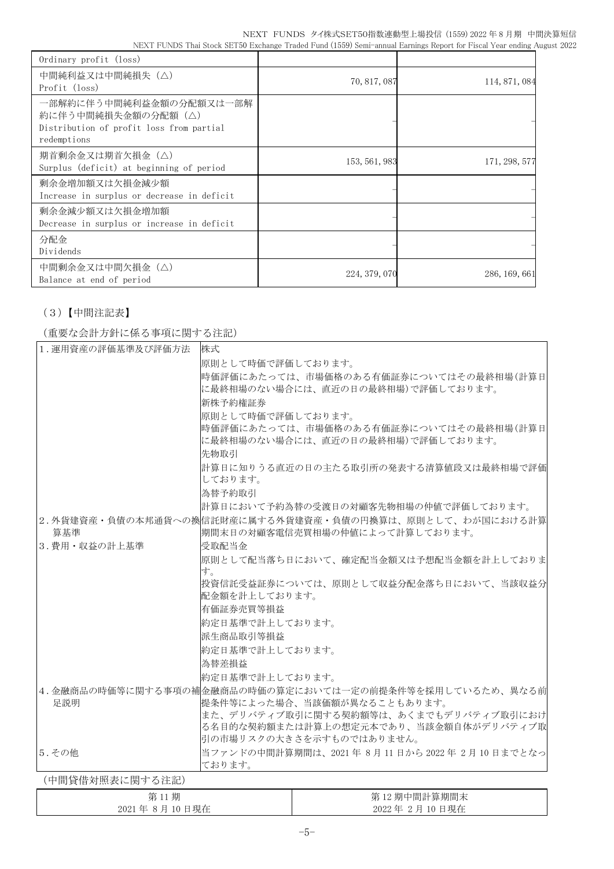| Ordinary profit (loss)                                                                                   |               |               |
|----------------------------------------------------------------------------------------------------------|---------------|---------------|
| 中間純利益又は中間純損失(△)<br>Profit (loss)                                                                         | 70, 817, 087  | 114, 871, 084 |
| 一部解約に伴う中間純利益金額の分配額又は一部解<br>約に伴う中間純損失金額の分配額(△)<br>Distribution of profit loss from partial<br>redemptions |               |               |
| 期首剰余金又は期首欠損金(△)<br>Surplus (deficit) at beginning of period                                              | 153, 561, 983 | 171, 298, 577 |
| 剰余金増加額又は欠損金減少額<br>Increase in surplus or decrease in deficit                                             |               |               |
| 剰余金減少額又は欠損金増加額<br>Decrease in surplus or increase in deficit                                             |               |               |
| 分配金<br>Dividends                                                                                         |               |               |
| 中間剰余金又は中間欠損金(△)<br>Balance at end of period                                                              | 224, 379, 070 | 286, 169, 661 |

# (3)【中間注記表】

## (重要な会計方針に係る事項に関する注記)

| 1. 運用資産の評価基準及び評価方法 | 株式                |                                                                                            |
|--------------------|-------------------|--------------------------------------------------------------------------------------------|
|                    | 原則として時価で評価しております。 |                                                                                            |
|                    |                   | 時価評価にあたっては、市場価格のある有価証券についてはその最終相場(計算日<br>に最終相場のない場合には、直近の日の最終相場)で評価しております。                 |
|                    | 新株予約権証券           |                                                                                            |
|                    | 原則として時価で評価しております。 |                                                                                            |
|                    |                   | 時価評価にあたっては、市場価格のある有価証券についてはその最終相場(計算日<br>に最終相場のない場合には、直近の日の最終相場)で評価しております。                 |
|                    | 先物取引              |                                                                                            |
|                    | しております。           | 計算日に知りうる直近の日の主たる取引所の発表する清算値段又は最終相場で評価                                                      |
|                    | 為替予約取引            |                                                                                            |
|                    |                   | 計算日において予約為替の受渡日の対顧客先物相場の仲値で評価しております。                                                       |
| 算基準                |                   | 2.外貨建資産・負債の本邦通貨への換信託財産に属する外貨建資産・負債の円換算は、原則として、わが国における計算<br> 期間末日の対顧客電信売買相場の仲値によって計算しております。 |
| 3. 費用・収益の計上基準      | 受取配当金             |                                                                                            |
|                    | す。                | 原則として配当落ち日において、確定配当金額又は予想配当金額を計上しておりま                                                      |
|                    | 配金額を計上しております。     | 投資信託受益証券については、原則として収益分配金落ち日において、当該収益分                                                      |
|                    | 有価証券売買等損益         |                                                                                            |
|                    | 約定日基準で計上しております。   |                                                                                            |
|                    | 派生商品取引等損益         |                                                                                            |
|                    | 約定日基準で計上しております。   |                                                                                            |
|                    | 為替差損益             |                                                                                            |
|                    | 約定日基準で計上しております。   |                                                                                            |
|                    |                   | 4.金融商品の時価等に関する事項の補金融商品の時価の算定においては一定の前提条件等を採用しているため、異なる前                                    |
| 足説明                |                   | 提条件等によった場合、当該価額が異なることもあります。                                                                |
|                    |                   | また、デリバティブ取引に関する契約額等は、あくまでもデリバティブ取引におけ<br>る名目的な契約額または計算上の想定元本であり、当該金額自体がデリバティブ取             |
|                    |                   | 引の市場リスクの大きさを示すものではありません。                                                                   |
| 5. その他             |                   | 当ファンドの中間計算期間は、2021年8月11日から2022年2月10日までとなっ                                                  |
|                    | ております。            |                                                                                            |
| (中間貸借対照表に関する注記)    |                   |                                                                                            |
| 第11期               |                   | 第12期中間計算期間末                                                                                |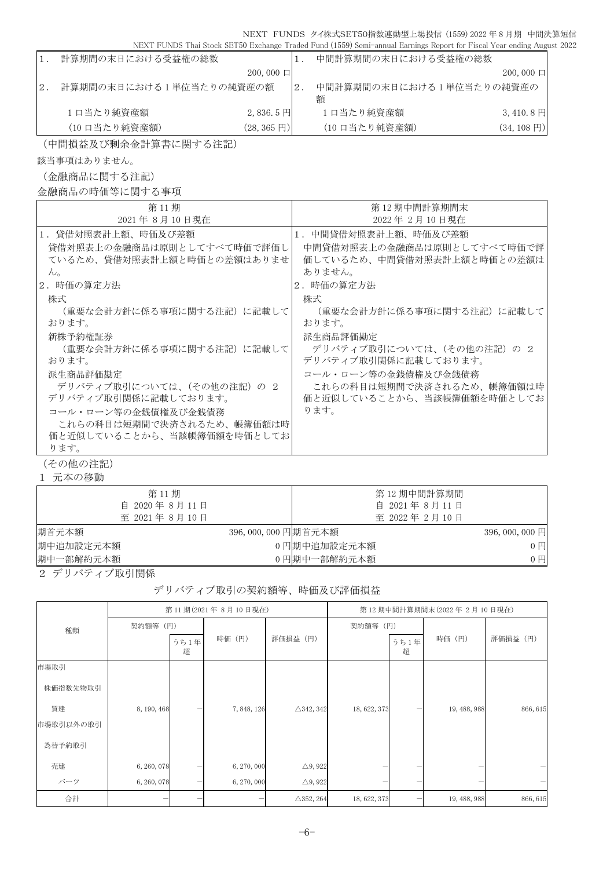|     |                         |                          |    | INEAT LOINDS THAI STOCK SETSO EXCHANGE TRAGGI LAND (1999) SEIN-ANNIAI EALIMIRS REPORT FOR LISCAL LEAR CHAMB AUR |                       |
|-----|-------------------------|--------------------------|----|-----------------------------------------------------------------------------------------------------------------|-----------------------|
|     | 計算期間の末日における受益権の総数       |                          |    | 中間計算期間の末日における受益権の総数                                                                                             |                       |
|     |                         | $200,000$ $\Box$         |    |                                                                                                                 | $200,000 \Box$        |
| 12. | 計算期間の末日における1単位当たりの純資産の額 |                          | 2. | 中間計算期間の末日における1単位当たりの純資産の<br>額                                                                                   |                       |
|     | 1口当たり純資産額               | $2,836.5$ 円              |    | 1日当たり純資産額                                                                                                       | $3,410.8 \,\boxtimes$ |
|     | (10 口当たり純資産額)           | $(28, 365 \,\mathrm{F})$ |    | (10 口当たり純資産額)                                                                                                   | $(34, 108 \text{ H})$ |

(中間損益及び剰余金計算書に関する注記)

該当事項はありません。

(金融商品に関する注記)

金融商品の時価等に関する事項

| 第11期                       | 第 12 期中間計算期間末              |
|----------------------------|----------------------------|
| 2021年8月10日現在               | 2022年2月10日現在               |
| 1.貸借対照表計上額、時価及び差額          | 1.中間貸借対照表計上額、時価及び差額        |
| 貸借対照表上の金融商品は原則としてすべて時価で評価し | 中間貸借対照表上の金融商品は原則としてすべて時価で評 |
| ているため、貸借対照表計上額と時価との差額はありませ | 価しているため、中間貸借対照表計上額と時価との差額は |
| $\mathcal{W}_{\alpha}$     | ありません。                     |
| 2.時価の算定方法                  | 2. 時価の算定方法                 |
| 株式                         | 株式                         |
| (重要な会計方針に係る事項に関する注記)に記載して  | (重要な会計方針に係る事項に関する注記)に記載して  |
| おります。                      | おります。                      |
| 新株予約権証券                    | 派生商品評価勘定                   |
| (重要な会計方針に係る事項に関する注記) に記載して | デリバティブ取引については、(その他の注記) の 2 |
| おります。                      | デリバティブ取引関係に記載しております。       |
| 派生商品評価勘定                   | コール・ローン等の金銭債権及び金銭債務        |
| デリバティブ取引については、(その他の注記) の 2 | これらの科目は短期間で決済されるため、帳簿価額は時  |
| デリバティブ取引関係に記載しております。       | 価と近似していることから、当該帳簿価額を時価としてお |
| コール・ローン等の金銭債権及び金銭債務        | ります。                       |
| これらの科目は短期間で決済されるため、帳簿価額は時  |                            |
| 価と近似していることから、当該帳簿価額を時価としてお |                            |
| ります。                       |                            |

(その他の注記)

1 元本の移動

| 第11期<br>自 2020年8月11日 |                    | 第 12 期中間計算期間<br>自 2021年8月11日 |                 |
|----------------------|--------------------|------------------------------|-----------------|
| 至 2021年8月10日         |                    | 至 2022年2月10日                 |                 |
| 期首元本額                | 396,000,000 円期首元本額 |                              | $396,000,000$ 円 |
| 期中追加設定元本額            |                    | 0円期中追加設定元本額                  | $0$ 円           |
| 期中一部解約元本額            |                    | 0円期中一部解約元本額                  | $0$ $\Box$      |

2 デリバティブ取引関係

#### デリバティブ取引の契約額等、時価及び評価損益

|           | 第11期(2021年8月10日現在) |           |             | 第12期中間計算期間末(2022年2月10日現在) |              |           |              |          |
|-----------|--------------------|-----------|-------------|---------------------------|--------------|-----------|--------------|----------|
| 種類        | 契約額等 (円)           |           |             |                           | 契約額等 (円)     |           |              |          |
|           |                    | うち1年<br>超 | 時価 (円)      | 評価損益 (円)                  |              | うち1年<br>超 | 時価 (円)       | 評価損益 (円) |
| 市場取引      |                    |           |             |                           |              |           |              |          |
| 株価指数先物取引  |                    |           |             |                           |              |           |              |          |
| 買建        | 8, 190, 468        |           | 7,848,126   | $\triangle$ 342, 342      | 18, 622, 373 |           | 19, 488, 988 | 866, 615 |
| 市場取引以外の取引 |                    |           |             |                           |              |           |              |          |
| 為替予約取引    |                    |           |             |                           |              |           |              |          |
| 売建        | 6, 260, 078        |           | 6, 270, 000 | $\triangle$ 9, 922        |              |           |              |          |
| バーツ       | 6, 260, 078        | —         | 6, 270, 000 | $\triangle$ 9, 922        |              | —         |              |          |
| 合計        |                    |           |             | $\triangle$ 352, 264      | 18, 622, 373 |           | 19, 488, 988 | 866, 615 |